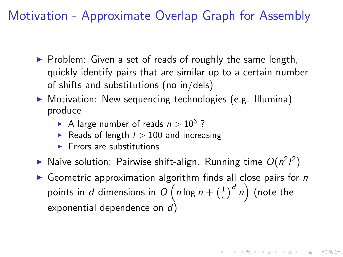Motivation - Approximate Overlap Graph for Assembly

- $\triangleright$  Problem: Given a set of reads of roughly the same length, quickly identify pairs that are similar up to a certain number of shifts and substitutions (no in/dels)
- ▶ Motivation: New sequencing technologies (e.g. Illumina) produce
	- A large number of reads  $n > 10^6$ ?
	- Reads of length  $l > 100$  and increasing
	- $\blacktriangleright$  Errors are substitutions
- Naive solution: Pairwise shift-align. Running time  $O(n^2l^2)$
- Geometric approximation algorithm finds all close pairs for  $n$ points in  $d$  dimensions in  $O(n \log n + (\frac{1}{\epsilon}))$  $\left(\frac{1}{\epsilon}\right)^d$   $n\Big)$  (note the exponential dependence on d)

**KORKAR KERKER E VOOR**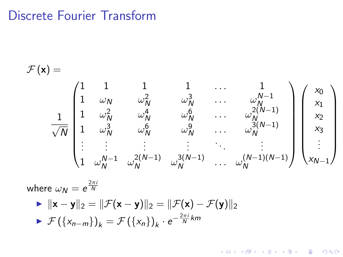## Discrete Fourier Transform

$$
\mathcal{F}(\mathbf{x}) = \begin{pmatrix}\n1 & 1 & 1 & \cdots & 1 \\
1 & \omega_N & \omega_N^2 & \omega_N^3 & \cdots & \omega_N^{N-1} \\
1 & \omega_N^2 & \omega_N^4 & \omega_N^6 & \cdots & \omega_N^{2(N-1)} \\
1 & \omega_N^3 & \omega_N^6 & \omega_N^9 & \cdots & \omega_N^{3(N-1)} \\
\vdots & \vdots & \vdots & \vdots & \ddots & \vdots \\
1 & \omega_N^{N-1} & \omega_N^{2(N-1)} & \omega_N^{3(N-1)} & \cdots & \omega_N^{(N-1)(N-1)}\n\end{pmatrix}\n\begin{pmatrix}\nx_0 \\
x_1 \\
x_2 \\
x_3 \\
x_3 \\
\vdots \\
x_{N-1}\n\end{pmatrix}
$$

**KORKA SERKER ORA** 

where  $\omega_{\textit{\textbf{N}}} = e^{\frac{2\pi i}{\textit{\textbf{N}}}}$ 

 $\mathbf{I} \times ||\mathbf{x} - \mathbf{y}||_2 = ||\mathcal{F}(\mathbf{x} - \mathbf{y})||_2 = ||\mathcal{F}(\mathbf{x}) - \mathcal{F}(\mathbf{y})||_2$  $\blacktriangleright$   $\mathcal{F}(\{x_{n-m}\})_k = \mathcal{F}(\{x_n\})_k \cdot e^{-\frac{2\pi i}{N}km}$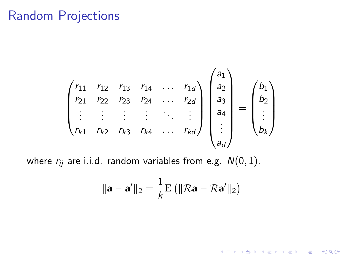## Random Projections

$$
\begin{pmatrix}\nr_{11} & r_{12} & r_{13} & r_{14} & \dots & r_{1d} \\
r_{21} & r_{22} & r_{23} & r_{24} & \dots & r_{2d} \\
\vdots & \vdots & \vdots & \vdots & \ddots & \vdots \\
r_{k1} & r_{k2} & r_{k3} & r_{k4} & \dots & r_{kd}\n\end{pmatrix}\n\begin{pmatrix}\na_1 \\
a_2 \\
a_3 \\
a_4 \\
\vdots \\
a_d\n\end{pmatrix}\n=\n\begin{pmatrix}\nb_1 \\
b_2 \\
\vdots \\
b_k\n\end{pmatrix}
$$

where  $r_{ij}$  are i.i.d. random variables from e.g.  $N(0, 1)$ .

$$
\|\mathbf{a} - \mathbf{a}'\|_2 = \frac{1}{k} \mathrm{E} \left( \|\mathcal{R}\mathbf{a} - \mathcal{R}\mathbf{a}'\|_2 \right)
$$

K ロ X K 메 X K B X X B X X D X O Q Q O